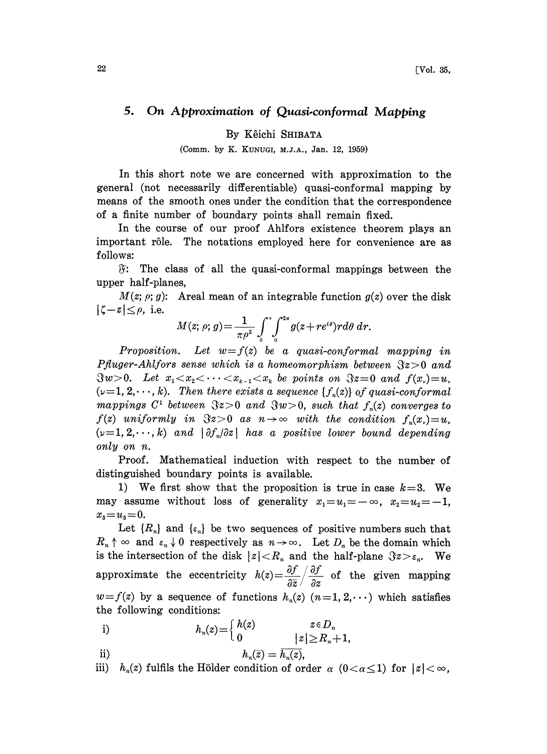## 5. On Approximation of Quasi.conformal Mapping

By Kêichi SHIBATA

(Comm. by K. KUNUGI, M.J.A., Jan. 12, 1959)

In this short note we are concerned with approximation to the general (not necessarily differentiable) quasi-conformal mapping by means of the smooth ones under the condition that the correspondence of a finite number of boundary points shall remain fixed.

In the course of our proof Ahlfors existence theorem plays an important rôle. The notations employed here for convenience are as follows:

: The class of all the quasi-conformal mappings between the upper half-planes,

 $M(z; \rho; g)$ : Areal mean of an integrable function  $g(z)$  over the disk  $|\zeta-z|\leq\rho$ , i.e.

$$
M(z; \rho; g) = \frac{1}{\pi \rho^2} \int_0^{\rho} \int_0^{2\pi} g(z + re^{i\theta}) r d\theta \ dr.
$$

Proposition. Let  $w=f(z)$  be a quasi-conformal mapping in Pfluger-Ahlfors sense which is a homeomorphism between  $3z>0$  and  $\Im w>0$ . Let  $x_1 < x_2 < \cdots < x_{k-1} < x_k$  be points on  $\Im z=0$  and  $f(x_0)=u$ ,  $(\nu=1, 2,\dots, k)$ . Then there exists a sequence  $\{f_n(z)\}\$  of quasi-conformal mappings  $C^1$  between  $3z>0$  and  $3w>0$ , such that  $f_n(z)$  converges to  $f(z)$  uniformly in  $\Im z>0$  as  $n\to\infty$  with the condition  $f_n(x)=u$ ,  $(\nu=1, 2, \dots, k)$  and  $\partial f_n/\partial z$  has a positive lower bound depending only on n.

Proof. Mathematical induction with respect to the number of distinguished boundary points is available.

1) We first show that the proposition is true in case  $k=3$ . We may assume without loss of generality  $x_1=u_1=-\infty$ ,  $x_2=u_2=-1$ ,  $x_3=u_3=0.$ 

Let  $\{R_n\}$  and  $\{\varepsilon_n\}$  be two sequences of positive numbers such that  $R_n \uparrow \infty$  and  $\varepsilon_n \downarrow 0$  respectively as  $n \to \infty$ . Let  $D_n$  be the domain which is the intersection of the disk  $|z| < R_n$  and the half-plane  $\Im z > \varepsilon_n$ . We is the intersection of the disk  $|z| < R_n$  and the half-plane  $\Im z > \varepsilon_n$ . We<br>approximate the eccentricity  $h(z) = \frac{\partial f}{\partial \overline{z}} / \frac{\partial f}{\partial z}$  of the given mapping  $w=f(z)$  by a sequence of functions  $h_n(z)$   $(n=1, 2, \cdots)$  which satisfies the following conditions:

i) 
$$
h_n(z) = \begin{cases} h(z) & z \in D_n \\ 0 & |z| \ge R_n + 1, \end{cases}
$$

$$
h_n(\bar{z})=\overline{h_n(z)},
$$

iii)  $h_n(z)$  fulfils the Hölder condition of order  $\alpha$  (0  $\alpha \leq 1$ ) for  $|z| < \infty$ ,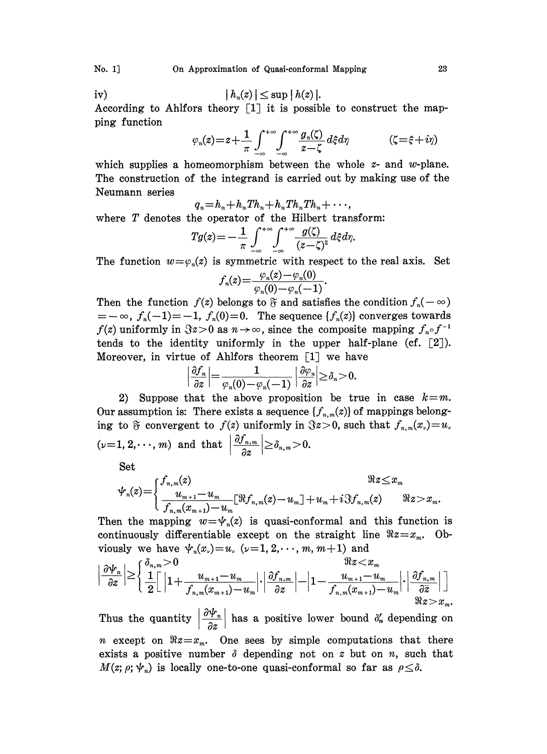$$
|h_n(z)| \leq \sup |h(z)|.
$$

iv)  $|h_n(z)| \le \sup |h(z)|$ .<br>According to Ahlfors theory [1] it is possible to construct the mapping function

$$
\varphi_n(z) = z + \frac{1}{\pi} \int_{-\infty}^{+\infty} \int_{-\infty}^{+\infty} \frac{g_n(\zeta)}{z - \zeta} d\xi d\eta \qquad (\zeta = \xi + i\eta)
$$

which supplies a homeomorphism between the whole  $z$ - and  $w$ -plane. The construction of the integrand is carried out by making use of the Neumann series

$$
q_n = h_n + h_n Th_n + h_n Th_n Th_n + \cdots,
$$

where  $T$  denotes the operator of the Hilbert transform:

$$
Tg(z) = -\frac{1}{\pi} \int_{-\infty}^{+\infty} \int_{-\infty}^{+\infty} \frac{g(\zeta)}{(z-\zeta)^2} d\xi d\eta.
$$

The function  $w = \varphi_n(z)$  is symmetric with respect to the real axis. Set

$$
f_n(z) = \frac{\varphi_n(z) - \varphi_n(0)}{\varphi_n(0) - \varphi_n(-1)}.
$$

Then the function  $f(z)$  belongs to  $\mathfrak F$  and satisfies the condition  $f_n(-\infty)$  $=-\infty$ ,  $f_n(-1)=-1$ ,  $f_n(0)=0$ . The sequence  $\{f_n(z)\}\)$  converges towards  $f(x)$  uniformly in  $\Im z > 0$  as  $n \to \infty$ , since the composite mapping  $f_n \circ f$ <br> $f(x)$  uniformly in  $\Im z > 0$  as  $n \to \infty$ , since the composite mapping  $f_n \circ f$ tends to the identity uniformly in the upper half-plane (cf. [2]). Moreover, in virtue of Ahlfors theorem  $\lceil 1 \rceil$  we have

$$
\left|\frac{\partial f_n}{\partial z}\right|{=}\frac{1}{\varphi_n(0){-}\varphi_n(-1)}\left|\frac{\partial \varphi_n}{\partial z}\right|{ \geq }\delta_n{>}0.
$$

2) Suppose that the above proposition be true in case  $k=m$ . Our assumption is: There exists a sequence  $\{f_{n,m}(z)\}\$  of mappings belonging to  $\tilde{v}$  convergent to  $f(z)$  uniformly in  $\Im z>0$ , such that  $f_{n,m}(x) = u$ ,  $(\nu=1,2,\dots,m)$  and that  $\left|\frac{\partial f_{n,m}}{\partial z}\right|\geq \delta_{n,m}>0.$ 

Set

$$
\psi_n(z) = \begin{cases} f_{n,m}(z) & \Re z \le x_m \\ \frac{u_{m+1} - u_m}{f_{n,m}(x_{m+1}) - u_m} [\Re f_{n,m}(z) - u_m] + u_m + i \Im f_{n,m}(z) & \Re z > x_m \end{cases}
$$

Then the mapping  $w=\psi_n(z)$  is quasi-conformal and this function is continuously differentiable except on the straight line  $\Re z=x_m$ . Obviously we have  $\psi_n(x) = u$ ,  $(\nu=1, 2, \dots, m, m+1)$  and

$$
\left|\frac{\partial \varphi_n}{\partial z}\right| \geq \left\{\frac{\delta_{n,m} > 0}{\frac{1}{2}\Big[\left|1 + \frac{u_{m+1} - u_m}{f_{n,m}(x_{m+1}) - u_m}\right| \cdot \left|\frac{\partial f_{n,m}}{\partial z}\right| - \left|1 - \frac{u_{m+1} - u_m}{f_{n,m}(x_{m+1}) - u_m}\right| \cdot \left|\frac{\partial f_{n,m}}{\partial \overline{z}}\right|\Big]}{\Re z > x_m}.
$$

Thus the quantity  $\left|\frac{\partial \varphi_n}{\partial z}\right|$  has a positive lower bound  $\delta_n$  depending on *n* except on  $\Re z = x_m$ . One sees by simple computations that there exists a positive number  $\delta$  depending not on z but on n, such that  $M(z; \rho; \psi_n)$  is locally one-to-one quasi-conformal so far as  $\rho \leq \delta$ .